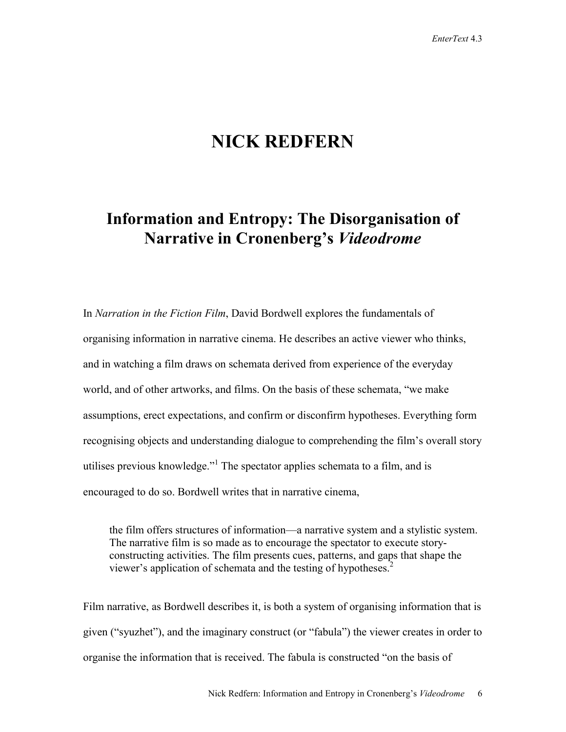# **NICK REDFERN**

## **Information and Entropy: The Disorganisation of Narrative in Cronenberg's** *Videodrome*

In *Narration in the Fiction Film*, David Bordwell explores the fundamentals of organising information in narrative cinema. He describes an active viewer who thinks, and in watching a film draws on schemata derived from experience of the everyday world, and of other artworks, and films. On the basis of these schemata, "we make assumptions, erect expectations, and confirm or disconfirm hypotheses. Everything form recognising objects and understanding dialogue to comprehending the film's overall story utilises previous knowledge.<sup> $n!$ </sup> The spectator applies schemata to a film, and is encouraged to do so. Bordwell writes that in narrative cinema,

the film offers structures of information—a narrative system and a stylistic system. The narrative film is so made as to encourage the spectator to execute storyconstructing activities. The film presents cues, patterns, and gaps that shape the viewer's application of schemata and the testing of hypotheses. $<sup>2</sup>$ </sup>

Film narrative, as Bordwell describes it, is both a system of organising information that is given ("syuzhet"), and the imaginary construct (or "fabula") the viewer creates in order to organise the information that is received. The fabula is constructed "on the basis of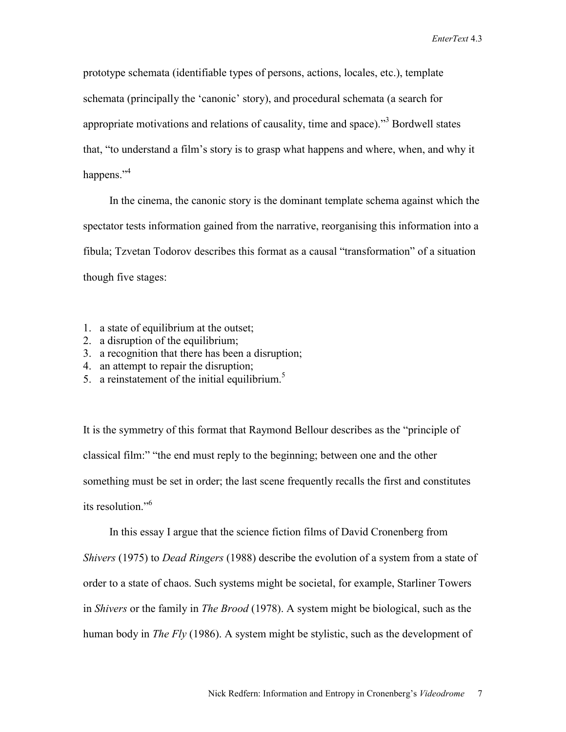prototype schemata (identifiable types of persons, actions, locales, etc.), template schemata (principally the 'canonic' story), and procedural schemata (a search for appropriate motivations and relations of causality, time and space).<sup>33</sup> Bordwell states that, "to understand a film's story is to grasp what happens and where, when, and why it happens."<sup>4</sup>

In the cinema, the canonic story is the dominant template schema against which the spectator tests information gained from the narrative, reorganising this information into a fibula; Tzvetan Todorov describes this format as a causal "transformation" of a situation though five stages:

- 1. a state of equilibrium at the outset;
- 2. a disruption of the equilibrium;
- 3. a recognition that there has been a disruption;
- 4. an attempt to repair the disruption;
- 5. a reinstatement of the initial equilibrium.<sup>5</sup>

It is the symmetry of this format that Raymond Bellour describes as the "principle of classical film:" "the end must reply to the beginning; between one and the other something must be set in order; the last scene frequently recalls the first and constitutes its resolution<sup>"6</sup>

In this essay I argue that the science fiction films of David Cronenberg from *Shivers* (1975) to *Dead Ringers* (1988) describe the evolution of a system from a state of order to a state of chaos. Such systems might be societal, for example, Starliner Towers in *Shivers* or the family in *The Brood* (1978). A system might be biological, such as the human body in *The Fly* (1986). A system might be stylistic, such as the development of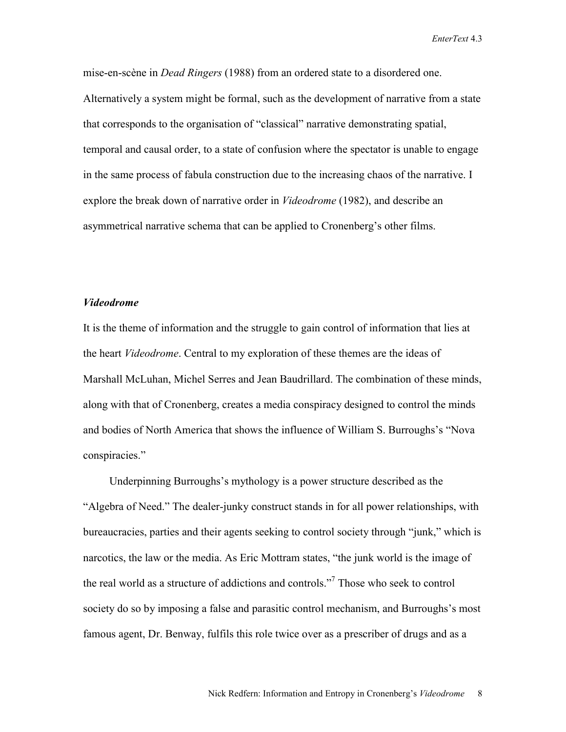mise-en-scène in *Dead Ringers* (1988) from an ordered state to a disordered one. Alternatively a system might be formal, such as the development of narrative from a state that corresponds to the organisation of "classical" narrative demonstrating spatial, temporal and causal order, to a state of confusion where the spectator is unable to engage in the same process of fabula construction due to the increasing chaos of the narrative. I explore the break down of narrative order in *Videodrome* (1982), and describe an asymmetrical narrative schema that can be applied to Cronenberg's other films.

### *Videodrome*

It is the theme of information and the struggle to gain control of information that lies at the heart *Videodrome*. Central to my exploration of these themes are the ideas of Marshall McLuhan, Michel Serres and Jean Baudrillard. The combination of these minds, along with that of Cronenberg, creates a media conspiracy designed to control the minds and bodies of North America that shows the influence of William S. Burroughs's "Nova conspiracies."

Underpinning Burroughs's mythology is a power structure described as the "Algebra of Need." The dealer-junky construct stands in for all power relationships, with bureaucracies, parties and their agents seeking to control society through "junk," which is narcotics, the law or the media. As Eric Mottram states, "the junk world is the image of the real world as a structure of addictions and controls."<sup>7</sup> Those who seek to control society do so by imposing a false and parasitic control mechanism, and Burroughs's most famous agent, Dr. Benway, fulfils this role twice over as a prescriber of drugs and as a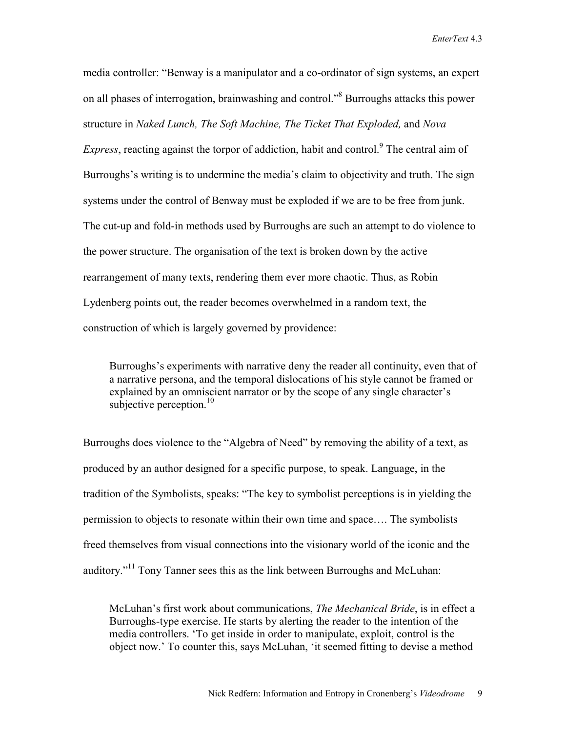media controller: "Benway is a manipulator and a co-ordinator of sign systems, an expert on all phases of interrogation, brainwashing and control."<sup>8</sup> Burroughs attacks this power structure in *Naked Lunch, The Soft Machine, The Ticket That Exploded,* and *Nova*  Express, reacting against the torpor of addiction, habit and control.<sup>9</sup> The central aim of Burroughs's writing is to undermine the media's claim to objectivity and truth. The sign systems under the control of Benway must be exploded if we are to be free from junk. The cut-up and fold-in methods used by Burroughs are such an attempt to do violence to the power structure. The organisation of the text is broken down by the active rearrangement of many texts, rendering them ever more chaotic. Thus, as Robin Lydenberg points out, the reader becomes overwhelmed in a random text, the construction of which is largely governed by providence:

Burroughs's experiments with narrative deny the reader all continuity, even that of a narrative persona, and the temporal dislocations of his style cannot be framed or explained by an omniscient narrator or by the scope of any single character's subjective perception.<sup>10</sup>

Burroughs does violence to the "Algebra of Need" by removing the ability of a text, as produced by an author designed for a specific purpose, to speak. Language, in the tradition of the Symbolists, speaks: "The key to symbolist perceptions is in yielding the permission to objects to resonate within their own time and space…. The symbolists freed themselves from visual connections into the visionary world of the iconic and the auditory.<sup>"11</sup> Tony Tanner sees this as the link between Burroughs and McLuhan:

McLuhan's first work about communications, *The Mechanical Bride*, is in effect a Burroughs-type exercise. He starts by alerting the reader to the intention of the media controllers. 'To get inside in order to manipulate, exploit, control is the object now.' To counter this, says McLuhan, 'it seemed fitting to devise a method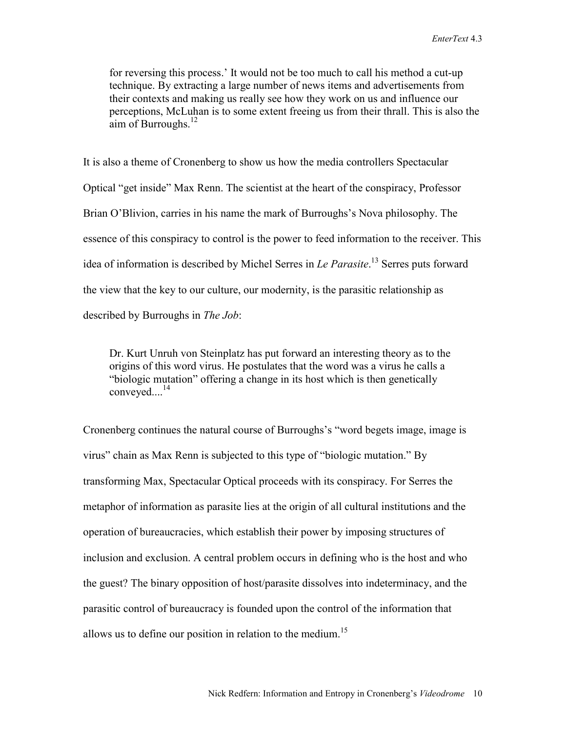for reversing this process.' It would not be too much to call his method a cut-up technique. By extracting a large number of news items and advertisements from their contexts and making us really see how they work on us and influence our perceptions, McLuhan is to some extent freeing us from their thrall. This is also the aim of Burroughs. $^{12}$ 

It is also a theme of Cronenberg to show us how the media controllers Spectacular Optical "get inside" Max Renn. The scientist at the heart of the conspiracy, Professor Brian O'Blivion, carries in his name the mark of Burroughs's Nova philosophy. The essence of this conspiracy to control is the power to feed information to the receiver. This idea of information is described by Michel Serres in *Le Parasite*. 13 Serres puts forward the view that the key to our culture, our modernity, is the parasitic relationship as described by Burroughs in *The Job*:

Dr. Kurt Unruh von Steinplatz has put forward an interesting theory as to the origins of this word virus. He postulates that the word was a virus he calls a "biologic mutation" offering a change in its host which is then genetically  $converved....<sup>14</sup>$ 

Cronenberg continues the natural course of Burroughs's "word begets image, image is virus" chain as Max Renn is subjected to this type of "biologic mutation." By transforming Max, Spectacular Optical proceeds with its conspiracy. For Serres the metaphor of information as parasite lies at the origin of all cultural institutions and the operation of bureaucracies, which establish their power by imposing structures of inclusion and exclusion. A central problem occurs in defining who is the host and who the guest? The binary opposition of host/parasite dissolves into indeterminacy, and the parasitic control of bureaucracy is founded upon the control of the information that allows us to define our position in relation to the medium.<sup>15</sup>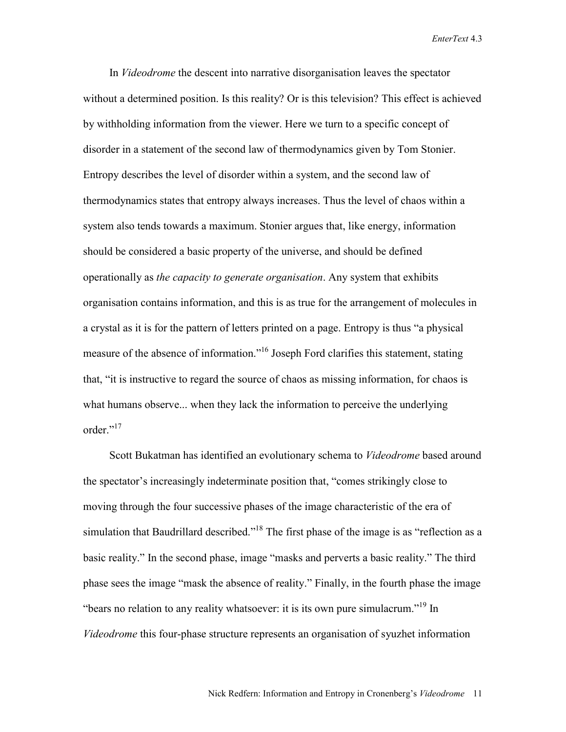In *Videodrome* the descent into narrative disorganisation leaves the spectator without a determined position. Is this reality? Or is this television? This effect is achieved by withholding information from the viewer. Here we turn to a specific concept of disorder in a statement of the second law of thermodynamics given by Tom Stonier. Entropy describes the level of disorder within a system, and the second law of thermodynamics states that entropy always increases. Thus the level of chaos within a system also tends towards a maximum. Stonier argues that, like energy, information should be considered a basic property of the universe, and should be defined operationally as *the capacity to generate organisation*. Any system that exhibits organisation contains information, and this is as true for the arrangement of molecules in a crystal as it is for the pattern of letters printed on a page. Entropy is thus "a physical measure of the absence of information."<sup>16</sup> Joseph Ford clarifies this statement, stating that, "it is instructive to regard the source of chaos as missing information, for chaos is what humans observe... when they lack the information to perceive the underlying order."<sup>17</sup>

Scott Bukatman has identified an evolutionary schema to *Videodrome* based around the spectator's increasingly indeterminate position that, "comes strikingly close to moving through the four successive phases of the image characteristic of the era of simulation that Baudrillard described."<sup>18</sup> The first phase of the image is as "reflection as a basic reality." In the second phase, image "masks and perverts a basic reality." The third phase sees the image "mask the absence of reality." Finally, in the fourth phase the image "bears no relation to any reality whatsoever: it is its own pure simulacrum."19 In *Videodrome* this four-phase structure represents an organisation of syuzhet information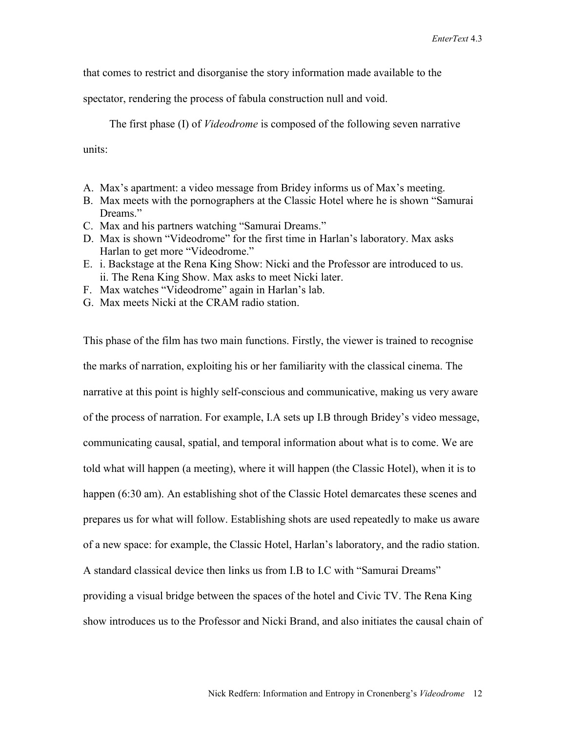that comes to restrict and disorganise the story information made available to the

spectator, rendering the process of fabula construction null and void.

The first phase (I) of *Videodrome* is composed of the following seven narrative

units:

- A. Max's apartment: a video message from Bridey informs us of Max's meeting.
- B. Max meets with the pornographers at the Classic Hotel where he is shown "Samurai Dreams."
- C. Max and his partners watching "Samurai Dreams."
- D. Max is shown "Videodrome" for the first time in Harlan's laboratory. Max asks Harlan to get more "Videodrome."
- E. i. Backstage at the Rena King Show: Nicki and the Professor are introduced to us. ii. The Rena King Show. Max asks to meet Nicki later.
- F. Max watches "Videodrome" again in Harlan's lab.
- G. Max meets Nicki at the CRAM radio station.

This phase of the film has two main functions. Firstly, the viewer is trained to recognise the marks of narration, exploiting his or her familiarity with the classical cinema. The narrative at this point is highly self-conscious and communicative, making us very aware of the process of narration. For example, I.A sets up I.B through Bridey's video message, communicating causal, spatial, and temporal information about what is to come. We are told what will happen (a meeting), where it will happen (the Classic Hotel), when it is to happen (6:30 am). An establishing shot of the Classic Hotel demarcates these scenes and prepares us for what will follow. Establishing shots are used repeatedly to make us aware of a new space: for example, the Classic Hotel, Harlan's laboratory, and the radio station. A standard classical device then links us from I.B to I.C with "Samurai Dreams" providing a visual bridge between the spaces of the hotel and Civic TV. The Rena King show introduces us to the Professor and Nicki Brand, and also initiates the causal chain of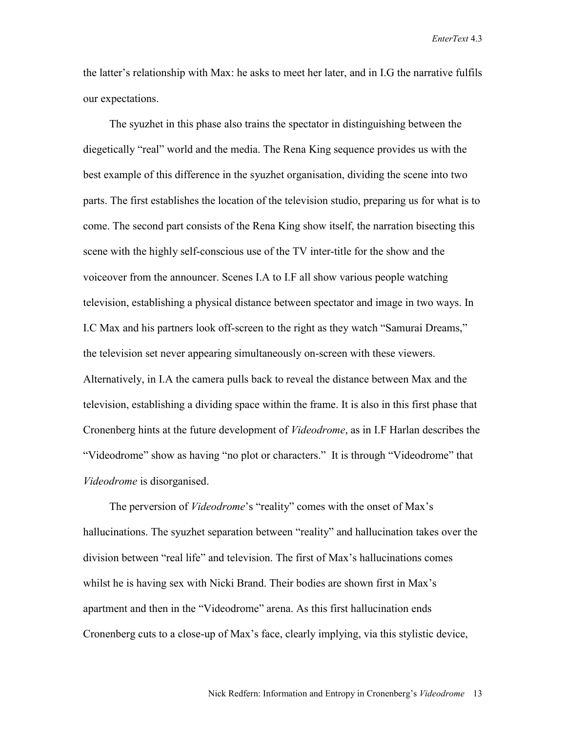the latter's relationship with Max: he asks to meet her later, and in I.G the narrative fulfils our expectations.

The syuzhet in this phase also trains the spectator in distinguishing between the diegetically "real" world and the media. The Rena King sequence provides us with the best example of this difference in the syuzhet organisation, dividing the scene into two parts. The first establishes the location of the television studio, preparing us for what is to come. The second part consists of the Rena King show itself, the narration bisecting this scene with the highly self-conscious use of the TV inter-title for the show and the voiceover from the announcer. Scenes I.A to I.F all show various people watching television, establishing a physical distance between spectator and image in two ways. In I.C Max and his partners look off-screen to the right as they watch "Samurai Dreams," the television set never appearing simultaneously on-screen with these viewers. Alternatively, in I.A the camera pulls back to reveal the distance between Max and the television, establishing a dividing space within the frame. It is also in this first phase that Cronenberg hints at the future development of *Videodrome*, as in I.F Harlan describes the "Videodrome" show as having "no plot or characters." It is through "Videodrome" that *Videodrome* is disorganised.

The perversion of *Videodrome*'s "reality" comes with the onset of Max's hallucinations. The syuzhet separation between "reality" and hallucination takes over the division between "real life" and television. The first of Max's hallucinations comes whilst he is having sex with Nicki Brand. Their bodies are shown first in Max's apartment and then in the "Videodrome" arena. As this first hallucination ends Cronenberg cuts to a close-up of Max's face, clearly implying, via this stylistic device,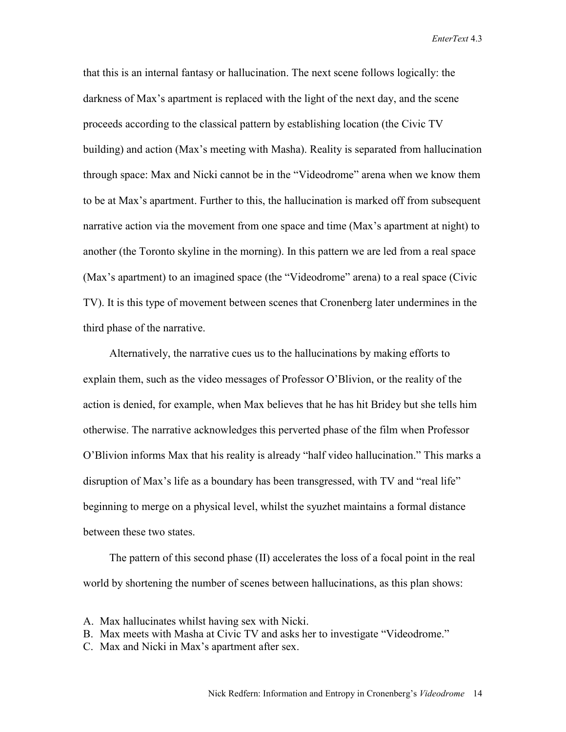that this is an internal fantasy or hallucination. The next scene follows logically: the darkness of Max's apartment is replaced with the light of the next day, and the scene proceeds according to the classical pattern by establishing location (the Civic TV building) and action (Max's meeting with Masha). Reality is separated from hallucination through space: Max and Nicki cannot be in the "Videodrome" arena when we know them to be at Max's apartment. Further to this, the hallucination is marked off from subsequent narrative action via the movement from one space and time (Max's apartment at night) to another (the Toronto skyline in the morning). In this pattern we are led from a real space (Max's apartment) to an imagined space (the "Videodrome" arena) to a real space (Civic TV). It is this type of movement between scenes that Cronenberg later undermines in the third phase of the narrative.

Alternatively, the narrative cues us to the hallucinations by making efforts to explain them, such as the video messages of Professor O'Blivion, or the reality of the action is denied, for example, when Max believes that he has hit Bridey but she tells him otherwise. The narrative acknowledges this perverted phase of the film when Professor O'Blivion informs Max that his reality is already "half video hallucination." This marks a disruption of Max's life as a boundary has been transgressed, with TV and "real life" beginning to merge on a physical level, whilst the syuzhet maintains a formal distance between these two states.

The pattern of this second phase (II) accelerates the loss of a focal point in the real world by shortening the number of scenes between hallucinations, as this plan shows:

- A. Max hallucinates whilst having sex with Nicki.
- B. Max meets with Masha at Civic TV and asks her to investigate "Videodrome."
- C. Max and Nicki in Max's apartment after sex.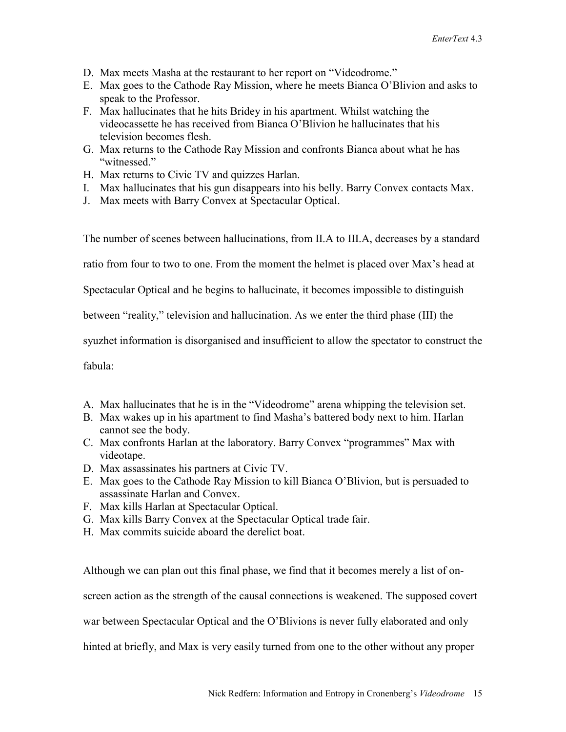- D. Max meets Masha at the restaurant to her report on "Videodrome."
- E. Max goes to the Cathode Ray Mission, where he meets Bianca O'Blivion and asks to speak to the Professor.
- F. Max hallucinates that he hits Bridey in his apartment. Whilst watching the videocassette he has received from Bianca O'Blivion he hallucinates that his television becomes flesh.
- G. Max returns to the Cathode Ray Mission and confronts Bianca about what he has "witnessed."
- H. Max returns to Civic TV and quizzes Harlan.
- I. Max hallucinates that his gun disappears into his belly. Barry Convex contacts Max.
- J. Max meets with Barry Convex at Spectacular Optical.

The number of scenes between hallucinations, from II.A to III.A, decreases by a standard

ratio from four to two to one. From the moment the helmet is placed over Max's head at

Spectacular Optical and he begins to hallucinate, it becomes impossible to distinguish

between "reality," television and hallucination. As we enter the third phase (III) the

syuzhet information is disorganised and insufficient to allow the spectator to construct the

fabula:

- A. Max hallucinates that he is in the "Videodrome" arena whipping the television set.
- B. Max wakes up in his apartment to find Masha's battered body next to him. Harlan cannot see the body.
- C. Max confronts Harlan at the laboratory. Barry Convex "programmes" Max with videotape.
- D. Max assassinates his partners at Civic TV.
- E. Max goes to the Cathode Ray Mission to kill Bianca O'Blivion, but is persuaded to assassinate Harlan and Convex.
- F. Max kills Harlan at Spectacular Optical.
- G. Max kills Barry Convex at the Spectacular Optical trade fair.
- H. Max commits suicide aboard the derelict boat.

Although we can plan out this final phase, we find that it becomes merely a list of on-

screen action as the strength of the causal connections is weakened. The supposed covert

war between Spectacular Optical and the O'Blivions is never fully elaborated and only

hinted at briefly, and Max is very easily turned from one to the other without any proper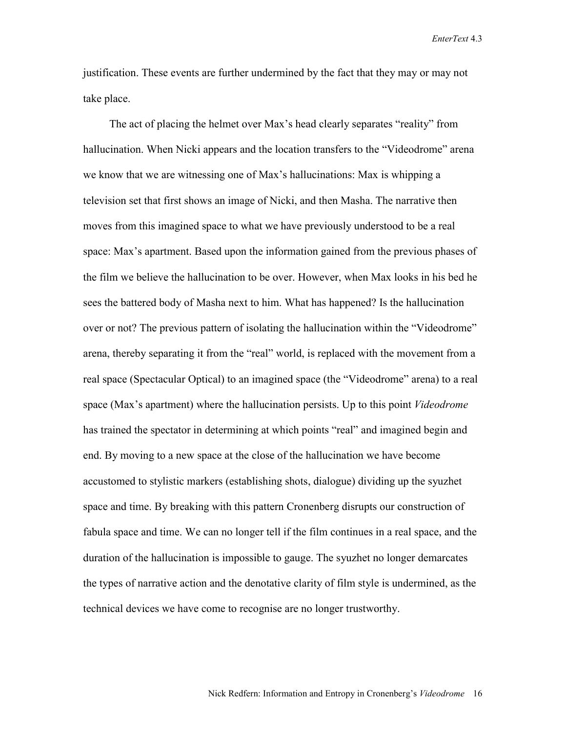justification. These events are further undermined by the fact that they may or may not take place.

The act of placing the helmet over Max's head clearly separates "reality" from hallucination. When Nicki appears and the location transfers to the "Videodrome" arena we know that we are witnessing one of Max's hallucinations: Max is whipping a television set that first shows an image of Nicki, and then Masha. The narrative then moves from this imagined space to what we have previously understood to be a real space: Max's apartment. Based upon the information gained from the previous phases of the film we believe the hallucination to be over. However, when Max looks in his bed he sees the battered body of Masha next to him. What has happened? Is the hallucination over or not? The previous pattern of isolating the hallucination within the "Videodrome" arena, thereby separating it from the "real" world, is replaced with the movement from a real space (Spectacular Optical) to an imagined space (the "Videodrome" arena) to a real space (Max's apartment) where the hallucination persists. Up to this point *Videodrome* has trained the spectator in determining at which points "real" and imagined begin and end. By moving to a new space at the close of the hallucination we have become accustomed to stylistic markers (establishing shots, dialogue) dividing up the syuzhet space and time. By breaking with this pattern Cronenberg disrupts our construction of fabula space and time. We can no longer tell if the film continues in a real space, and the duration of the hallucination is impossible to gauge. The syuzhet no longer demarcates the types of narrative action and the denotative clarity of film style is undermined, as the technical devices we have come to recognise are no longer trustworthy.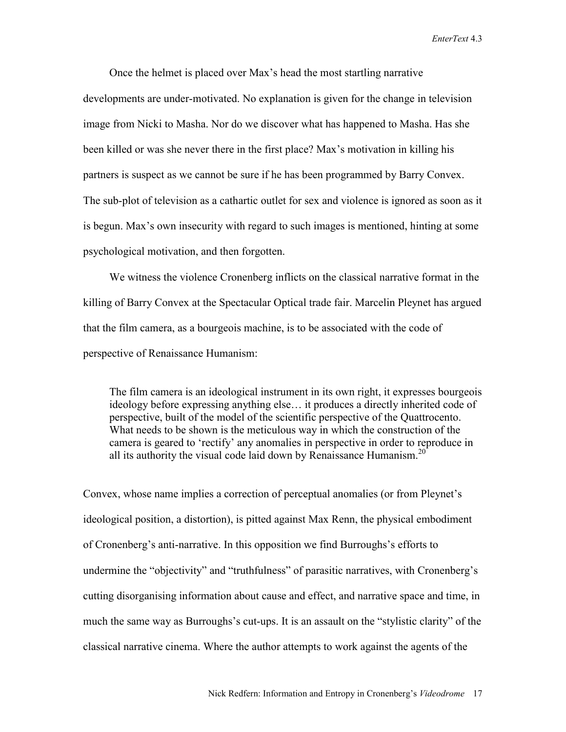Once the helmet is placed over Max's head the most startling narrative developments are under-motivated. No explanation is given for the change in television image from Nicki to Masha. Nor do we discover what has happened to Masha. Has she been killed or was she never there in the first place? Max's motivation in killing his partners is suspect as we cannot be sure if he has been programmed by Barry Convex. The sub-plot of television as a cathartic outlet for sex and violence is ignored as soon as it is begun. Max's own insecurity with regard to such images is mentioned, hinting at some psychological motivation, and then forgotten.

We witness the violence Cronenberg inflicts on the classical narrative format in the killing of Barry Convex at the Spectacular Optical trade fair. Marcelin Pleynet has argued that the film camera, as a bourgeois machine, is to be associated with the code of perspective of Renaissance Humanism:

The film camera is an ideological instrument in its own right, it expresses bourgeois ideology before expressing anything else… it produces a directly inherited code of perspective, built of the model of the scientific perspective of the Quattrocento. What needs to be shown is the meticulous way in which the construction of the camera is geared to 'rectify' any anomalies in perspective in order to reproduce in all its authority the visual code laid down by Renaissance Humanism.<sup>20</sup>

Convex, whose name implies a correction of perceptual anomalies (or from Pleynet's ideological position, a distortion), is pitted against Max Renn, the physical embodiment of Cronenberg's anti-narrative. In this opposition we find Burroughs's efforts to undermine the "objectivity" and "truthfulness" of parasitic narratives, with Cronenberg's cutting disorganising information about cause and effect, and narrative space and time, in much the same way as Burroughs's cut-ups. It is an assault on the "stylistic clarity" of the classical narrative cinema. Where the author attempts to work against the agents of the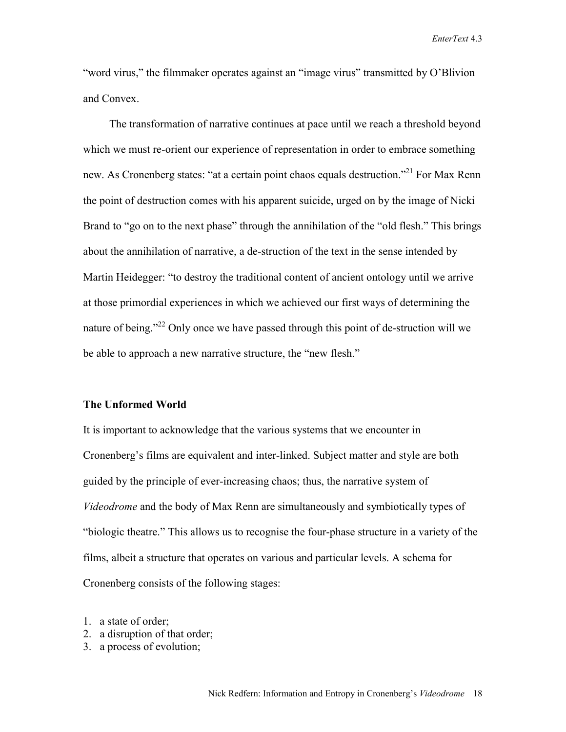"word virus," the filmmaker operates against an "image virus" transmitted by O'Blivion and Convex.

The transformation of narrative continues at pace until we reach a threshold beyond which we must re-orient our experience of representation in order to embrace something new. As Cronenberg states: "at a certain point chaos equals destruction."<sup>21</sup> For Max Renn the point of destruction comes with his apparent suicide, urged on by the image of Nicki Brand to "go on to the next phase" through the annihilation of the "old flesh." This brings about the annihilation of narrative, a de-struction of the text in the sense intended by Martin Heidegger: "to destroy the traditional content of ancient ontology until we arrive at those primordial experiences in which we achieved our first ways of determining the nature of being."<sup>22</sup> Only once we have passed through this point of de-struction will we be able to approach a new narrative structure, the "new flesh."

#### **The Unformed World**

It is important to acknowledge that the various systems that we encounter in Cronenberg's films are equivalent and inter-linked. Subject matter and style are both guided by the principle of ever-increasing chaos; thus, the narrative system of *Videodrome* and the body of Max Renn are simultaneously and symbiotically types of "biologic theatre." This allows us to recognise the four-phase structure in a variety of the films, albeit a structure that operates on various and particular levels. A schema for Cronenberg consists of the following stages:

- 1. a state of order;
- 2. a disruption of that order;
- 3. a process of evolution;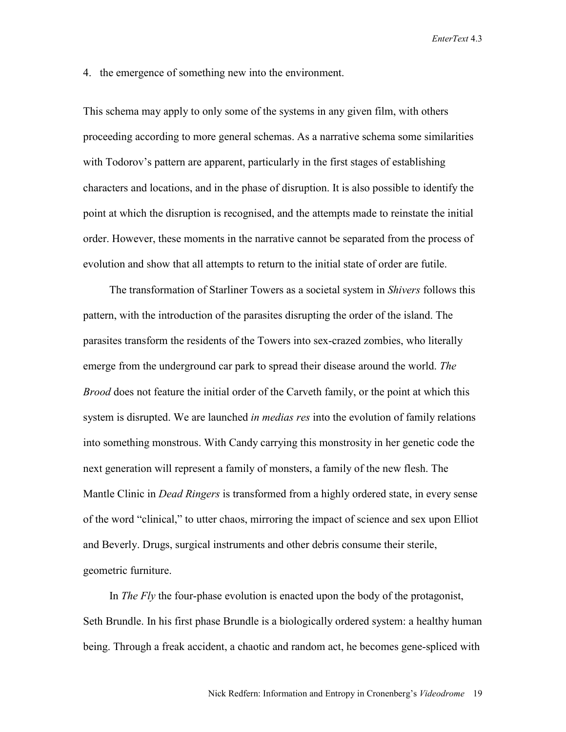4. the emergence of something new into the environment.

This schema may apply to only some of the systems in any given film, with others proceeding according to more general schemas. As a narrative schema some similarities with Todorov's pattern are apparent, particularly in the first stages of establishing characters and locations, and in the phase of disruption. It is also possible to identify the point at which the disruption is recognised, and the attempts made to reinstate the initial order. However, these moments in the narrative cannot be separated from the process of evolution and show that all attempts to return to the initial state of order are futile.

The transformation of Starliner Towers as a societal system in *Shivers* follows this pattern, with the introduction of the parasites disrupting the order of the island. The parasites transform the residents of the Towers into sex-crazed zombies, who literally emerge from the underground car park to spread their disease around the world. *The Brood* does not feature the initial order of the Carveth family, or the point at which this system is disrupted. We are launched *in medias res* into the evolution of family relations into something monstrous. With Candy carrying this monstrosity in her genetic code the next generation will represent a family of monsters, a family of the new flesh. The Mantle Clinic in *Dead Ringers* is transformed from a highly ordered state, in every sense of the word "clinical," to utter chaos, mirroring the impact of science and sex upon Elliot and Beverly. Drugs, surgical instruments and other debris consume their sterile, geometric furniture.

In *The Fly* the four-phase evolution is enacted upon the body of the protagonist, Seth Brundle. In his first phase Brundle is a biologically ordered system: a healthy human being. Through a freak accident, a chaotic and random act, he becomes gene-spliced with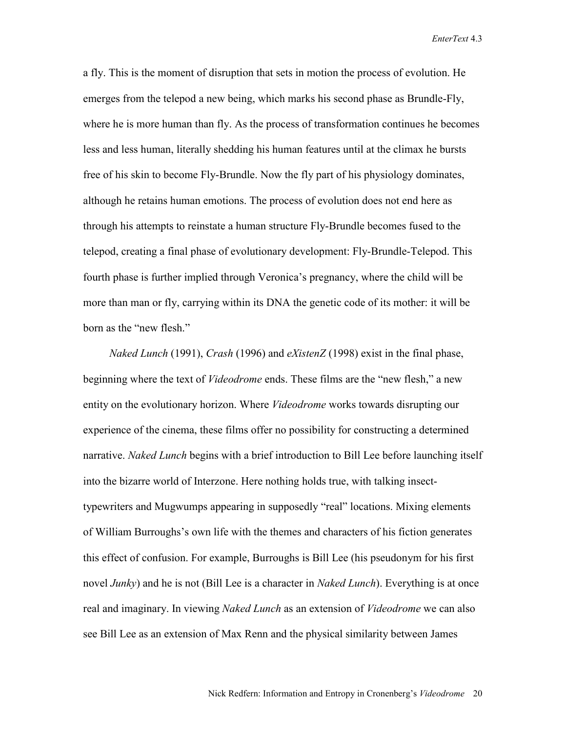a fly. This is the moment of disruption that sets in motion the process of evolution. He emerges from the telepod a new being, which marks his second phase as Brundle-Fly, where he is more human than fly. As the process of transformation continues he becomes less and less human, literally shedding his human features until at the climax he bursts free of his skin to become Fly-Brundle. Now the fly part of his physiology dominates, although he retains human emotions. The process of evolution does not end here as through his attempts to reinstate a human structure Fly-Brundle becomes fused to the telepod, creating a final phase of evolutionary development: Fly-Brundle-Telepod. This fourth phase is further implied through Veronica's pregnancy, where the child will be more than man or fly, carrying within its DNA the genetic code of its mother: it will be born as the "new flesh."

*Naked Lunch* (1991), *Crash* (1996) and *eXistenZ* (1998) exist in the final phase, beginning where the text of *Videodrome* ends. These films are the "new flesh," a new entity on the evolutionary horizon. Where *Videodrome* works towards disrupting our experience of the cinema, these films offer no possibility for constructing a determined narrative. *Naked Lunch* begins with a brief introduction to Bill Lee before launching itself into the bizarre world of Interzone. Here nothing holds true, with talking insecttypewriters and Mugwumps appearing in supposedly "real" locations. Mixing elements of William Burroughs's own life with the themes and characters of his fiction generates this effect of confusion. For example, Burroughs is Bill Lee (his pseudonym for his first novel *Junky*) and he is not (Bill Lee is a character in *Naked Lunch*). Everything is at once real and imaginary. In viewing *Naked Lunch* as an extension of *Videodrome* we can also see Bill Lee as an extension of Max Renn and the physical similarity between James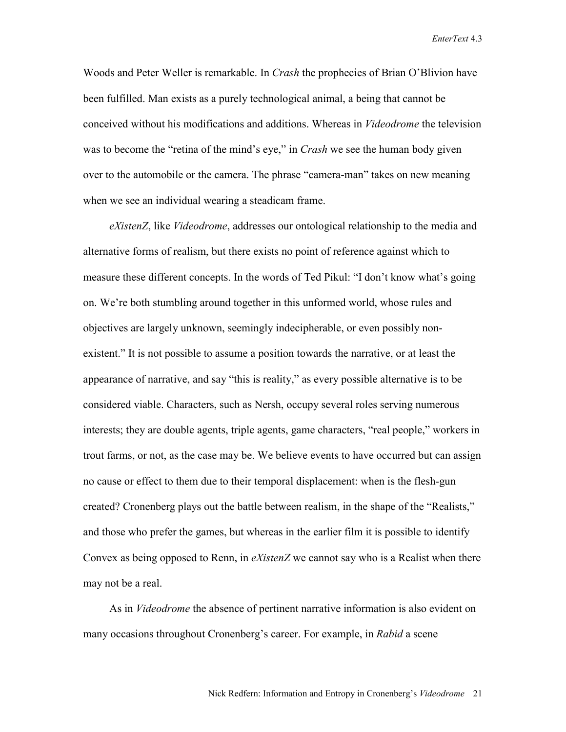Woods and Peter Weller is remarkable. In *Crash* the prophecies of Brian O'Blivion have been fulfilled. Man exists as a purely technological animal, a being that cannot be conceived without his modifications and additions. Whereas in *Videodrome* the television was to become the "retina of the mind's eye," in *Crash* we see the human body given over to the automobile or the camera. The phrase "camera-man" takes on new meaning when we see an individual wearing a steadicam frame.

*eXistenZ*, like *Videodrome*, addresses our ontological relationship to the media and alternative forms of realism, but there exists no point of reference against which to measure these different concepts. In the words of Ted Pikul: "I don't know what's going on. We're both stumbling around together in this unformed world, whose rules and objectives are largely unknown, seemingly indecipherable, or even possibly nonexistent." It is not possible to assume a position towards the narrative, or at least the appearance of narrative, and say "this is reality," as every possible alternative is to be considered viable. Characters, such as Nersh, occupy several roles serving numerous interests; they are double agents, triple agents, game characters, "real people," workers in trout farms, or not, as the case may be. We believe events to have occurred but can assign no cause or effect to them due to their temporal displacement: when is the flesh-gun created? Cronenberg plays out the battle between realism, in the shape of the "Realists," and those who prefer the games, but whereas in the earlier film it is possible to identify Convex as being opposed to Renn, in *eXistenZ* we cannot say who is a Realist when there may not be a real.

As in *Videodrome* the absence of pertinent narrative information is also evident on many occasions throughout Cronenberg's career. For example, in *Rabid* a scene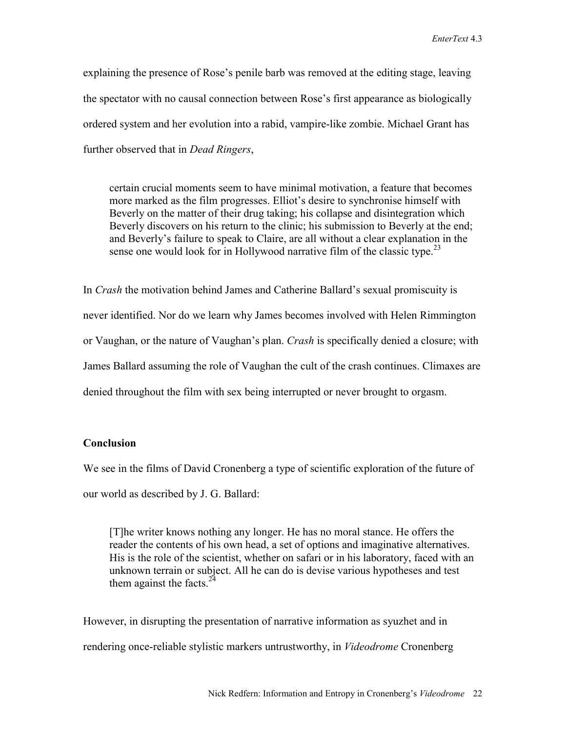explaining the presence of Rose's penile barb was removed at the editing stage, leaving the spectator with no causal connection between Rose's first appearance as biologically ordered system and her evolution into a rabid, vampire-like zombie. Michael Grant has further observed that in *Dead Ringers*,

certain crucial moments seem to have minimal motivation, a feature that becomes more marked as the film progresses. Elliot's desire to synchronise himself with Beverly on the matter of their drug taking; his collapse and disintegration which Beverly discovers on his return to the clinic; his submission to Beverly at the end; and Beverly's failure to speak to Claire, are all without a clear explanation in the sense one would look for in Hollywood narrative film of the classic type.<sup>23</sup>

In *Crash* the motivation behind James and Catherine Ballard's sexual promiscuity is never identified. Nor do we learn why James becomes involved with Helen Rimmington or Vaughan, or the nature of Vaughan's plan. *Crash* is specifically denied a closure; with James Ballard assuming the role of Vaughan the cult of the crash continues. Climaxes are denied throughout the film with sex being interrupted or never brought to orgasm.

### **Conclusion**

We see in the films of David Cronenberg a type of scientific exploration of the future of our world as described by J. G. Ballard:

[T]he writer knows nothing any longer. He has no moral stance. He offers the reader the contents of his own head, a set of options and imaginative alternatives. His is the role of the scientist, whether on safari or in his laboratory, faced with an unknown terrain or subject. All he can do is devise various hypotheses and test them against the facts.  $24$ 

However, in disrupting the presentation of narrative information as syuzhet and in rendering once-reliable stylistic markers untrustworthy, in *Videodrome* Cronenberg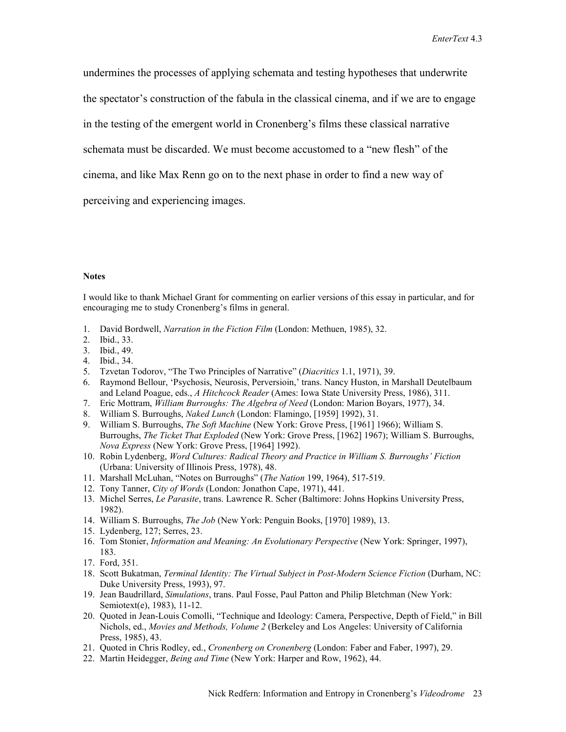undermines the processes of applying schemata and testing hypotheses that underwrite

the spectator's construction of the fabula in the classical cinema, and if we are to engage

in the testing of the emergent world in Cronenberg's films these classical narrative

schemata must be discarded. We must become accustomed to a "new flesh" of the

cinema, and like Max Renn go on to the next phase in order to find a new way of

perceiving and experiencing images.

#### **Notes**

I would like to thank Michael Grant for commenting on earlier versions of this essay in particular, and for encouraging me to study Cronenberg's films in general.

- 1. David Bordwell, *Narration in the Fiction Film* (London: Methuen, 1985), 32.
- 2. Ibid., 33.
- 3. Ibid., 49.
- 4. Ibid., 34.
- 5. Tzvetan Todorov, "The Two Principles of Narrative" (*Diacritics* 1.1, 1971), 39.
- 6. Raymond Bellour, 'Psychosis, Neurosis, Perversioin,' trans. Nancy Huston, in Marshall Deutelbaum and Leland Poague, eds., *A Hitchcock Reader* (Ames: Iowa State University Press, 1986), 311.
- 7. Eric Mottram, *William Burroughs: The Algebra of Need* (London: Marion Boyars, 1977), 34.
- 8. William S. Burroughs, *Naked Lunch* (London: Flamingo, [1959] 1992), 31.
- 9. William S. Burroughs, *The Soft Machine* (New York: Grove Press, [1961] 1966); William S. Burroughs, *The Ticket That Exploded* (New York: Grove Press, [1962] 1967); William S. Burroughs, *Nova Express* (New York: Grove Press, [1964] 1992).
- 10. Robin Lydenberg, *Word Cultures: Radical Theory and Practice in William S. Burroughs' Fiction* (Urbana: University of Illinois Press, 1978), 48.
- 11. Marshall McLuhan, "Notes on Burroughs" (*The Nation* 199, 1964), 517-519.
- 12. Tony Tanner, *City of Words* (London: Jonathon Cape, 1971), 441.
- 13. Michel Serres, *Le Parasite*, trans. Lawrence R. Scher (Baltimore: Johns Hopkins University Press, 1982).
- 14. William S. Burroughs, *The Job* (New York: Penguin Books, [1970] 1989), 13.
- 15. Lydenberg, 127; Serres, 23.
- 16. Tom Stonier, *Information and Meaning: An Evolutionary Perspective* (New York: Springer, 1997), 183.
- 17. Ford, 351.
- 18. Scott Bukatman, *Terminal Identity: The Virtual Subject in Post-Modern Science Fiction* (Durham, NC: Duke University Press, 1993), 97.
- 19. Jean Baudrillard, *Simulations*, trans. Paul Fosse, Paul Patton and Philip Bletchman (New York: Semiotext(e), 1983), 11-12.
- 20. Quoted in Jean-Louis Comolli, "Technique and Ideology: Camera, Perspective, Depth of Field," in Bill Nichols, ed., *Movies and Methods, Volume 2* (Berkeley and Los Angeles: University of California Press, 1985), 43.
- 21. Quoted in Chris Rodley, ed., *Cronenberg on Cronenberg* (London: Faber and Faber, 1997), 29.
- 22. Martin Heidegger, *Being and Time* (New York: Harper and Row, 1962), 44.